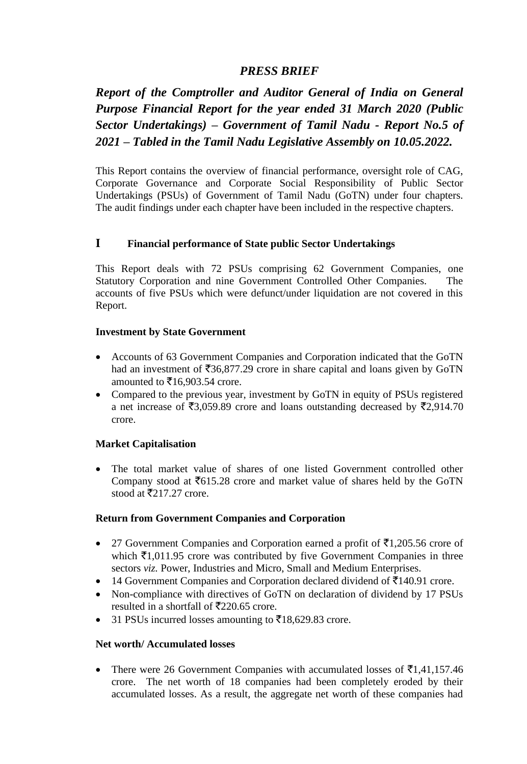# *PRESS BRIEF*

*Report of the Comptroller and Auditor General of India on General Purpose Financial Report for the year ended 31 March 2020 (Public Sector Undertakings) – Government of Tamil Nadu - Report No.5 of 2021 – Tabled in the Tamil Nadu Legislative Assembly on 10.05.2022.*

This Report contains the overview of financial performance, oversight role of CAG, Corporate Governance and Corporate Social Responsibility of Public Sector Undertakings (PSUs) of Government of Tamil Nadu (GoTN) under four chapters. The audit findings under each chapter have been included in the respective chapters.

## **I Financial performance of State public Sector Undertakings**

This Report deals with 72 PSUs comprising 62 Government Companies, one Statutory Corporation and nine Government Controlled Other Companies. The accounts of five PSUs which were defunct/under liquidation are not covered in this Report.

### **Investment by State Government**

- Accounts of 63 Government Companies and Corporation indicated that the GoTN had an investment of  $\overline{536,877.29}$  crore in share capital and loans given by GoTN amounted to  $\bar{\mathfrak{e}} 16,903.54$  crore.
- Compared to the previous year, investment by GoTN in equity of PSUs registered a net increase of  $\overline{53,059.89}$  crore and loans outstanding decreased by  $\overline{52,914.70}$ crore.

### **Market Capitalisation**

• The total market value of shares of one listed Government controlled other Company stood at  $\overline{6}615.28$  crore and market value of shares held by the GoTN stood at  $\overline{5}217.27$  crore.

### **Return from Government Companies and Corporation**

- 27 Government Companies and Corporation earned a profit of  $\bar{\tau}1,205.56$  crore of which  $\bar{z}1,011.95$  crore was contributed by five Government Companies in three sectors *viz.* Power, Industries and Micro, Small and Medium Enterprises.
- 14 Government Companies and Corporation declared dividend of  $\bar{5}140.91$  crore.
- Non-compliance with directives of GoTN on declaration of dividend by 17 PSUs resulted in a shortfall of  $\overline{5}220.65$  crore.
- 31 PSUs incurred losses amounting to  $\bar{\mathfrak{Z}}$ 18,629.83 crore.

#### **Net worth/ Accumulated losses**

There were 26 Government Companies with accumulated losses of  $\bar{\mathfrak{E}}1,41,157.46$ crore. The net worth of 18 companies had been completely eroded by their accumulated losses. As a result, the aggregate net worth of these companies had